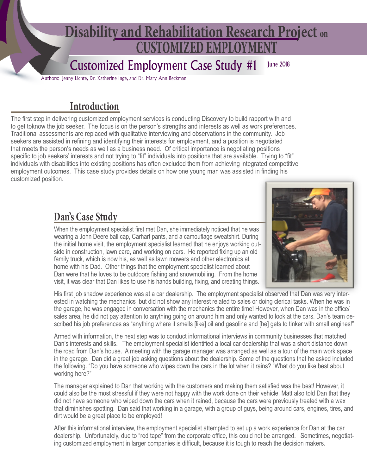# **CUSTOMIZED EMPLOYMENT Disability and Rehabilitation Research Project on**

#### June 2018 Customized Employment Case Study #1

Authors: Jenny Lichte, Dr. Katherine Inge, and Dr. Mary Ann Beckman

#### **Introduction**

The first step in delivering customized employment services is conducting Discovery to build rapport with and to get toknow the job seeker. The focus is on the person's strengths and interests as well as work preferences. Traditional assessments are replaced with qualitative interviewing and observations in the community. Job seekers are assisted in refining and identifying their interests for employment, and a position is negotiated that meets the person's needs as well as a business need. Of critical importance is negotiating positions specific to job seekers' interests and not trying to "fit" individuals into positions that are available. Trying to "fit" individuals with disabilities into existing positions has often excluded them from achieving integrated competitive employment outcomes. This case study provides details on how one young man was assisted in finding his customized position.

### **Dan's Case Study**

When the employment specialist first met Dan, she immediately noticed that he was wearing a John Deere ball cap, Carhart pants, and a camouflage sweatshirt. During the initial home visit, the employment specialist learned that he enjoys working outside in construction, lawn care, and working on cars. He reported fixing up an old family truck, which is now his, as well as lawn mowers and other electronics at home with his Dad. Other things that the employment specialist learned about Dan were that he loves to be outdoors fishing and snowmobiling. From the home visit, it was clear that Dan likes to use his hands building, fixing, and creating things.



His first job shadow experience was at a car dealership. The employment specialist observed that Dan was very interested in watching the mechanics but did not show any interest related to sales or doing clerical tasks. When he was in the garage, he was engaged in conversation with the mechanics the entire time! However, when Dan was in the office/ sales area, he did not pay attention to anything going on around him and only wanted to look at the cars. Dan's team described his job preferences as "anything where it smells [like] oil and gasoline and [he] gets to tinker with small engines!"

Armed with information, the next step was to conduct informational interviews in community businesses that matched Dan's interests and skills. The employment specialist identified a local car dealership that was a short distance down the road from Dan's house. A meeting with the garage manager was arranged as well as a tour of the main work space in the garage. Dan did a great job asking questions about the dealership. Some of the questions that he asked included the following. "Do you have someone who wipes down the cars in the lot when it rains? "What do you like best about working here?"

The manager explained to Dan that working with the customers and making them satisfied was the best! However, it could also be the most stressful if they were not happy with the work done on their vehicle. Matt also told Dan that they did not have someone who wiped down the cars when it rained, because the cars were previously treated with a wax that diminishes spotting. Dan said that working in a garage, with a group of guys, being around cars, engines, tires, and dirt would be a great place to be employed!

After this informational interview, the employment specialist attempted to set up a work experience for Dan at the car dealership. Unfortunately, due to "red tape" from the corporate office, this could not be arranged. Sometimes, negotiating customized employment in larger companies is difficult, because it is tough to reach the decision makers.